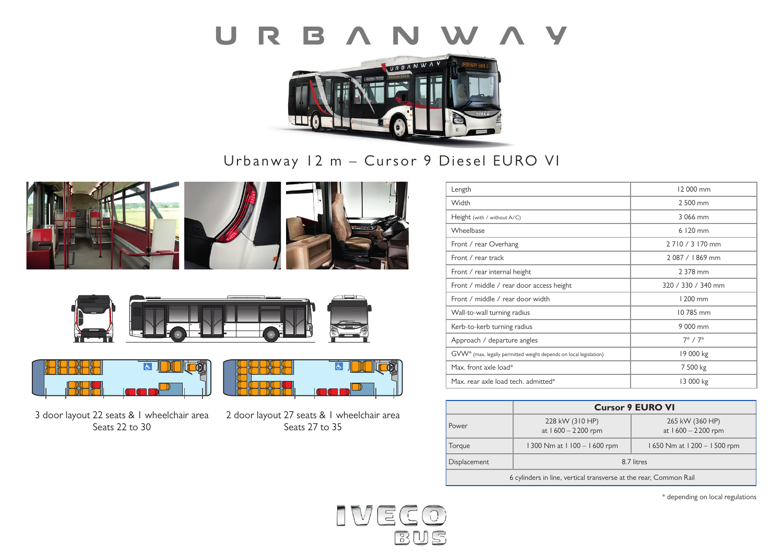



Urbanway 12 m – Cursor 9 Diesel EURO VI









3 door layout 22 seats & 1 wheelchair area Seats 22 to 30

2 door layout 27 seats & 1 wheelchair area Seats 27 to 35

 $\overline{5}$ 

| Length                                                            | 12 000 mm             |
|-------------------------------------------------------------------|-----------------------|
| Width                                                             | 2 500 mm              |
| Height (with / without A/C)                                       | 3 066 mm              |
| Wheelbase                                                         | 6 120 mm              |
| Front / rear Overhang                                             | 2710/3170 mm          |
| Front / rear track                                                | 2087 / 1869 mm        |
| Front / rear internal height                                      | 2 378 mm              |
| Front / middle / rear door access height                          | 320 / 330 / 340 mm    |
| Front / middle / rear door width                                  | 1 200 mm              |
| Wall-to-wall turning radius                                       | 10 785 mm             |
| Kerb-to-kerb turning radius                                       | 9 000 mm              |
| Approach / departure angles                                       | $7^\circ$ / $7^\circ$ |
| GVW* (max. legally permitted weight depends on local legislation) | 19 000 kg             |
| Max. front axle load*                                             | 7 500 kg              |
| Max. rear axle load tech. admitted*                               | 13 000 kg             |

|                                                                   | <b>Cursor 9 EURO VI</b>               |                                         |
|-------------------------------------------------------------------|---------------------------------------|-----------------------------------------|
| Power                                                             | 228 kW (310 HP)<br>at 1600 - 2200 rpm | 265 kW (360 HP)<br>at $1600 - 2200$ rpm |
| Torque                                                            | 1300 Nm at 1100 - 1600 rpm            | 1650 Nm at 1200 - 1500 rpm              |
| Displacement                                                      | 8.7 litres                            |                                         |
| 6 cylinders in line, vertical transverse at the rear, Common Rail |                                       |                                         |

\* depending on local regulations



lox